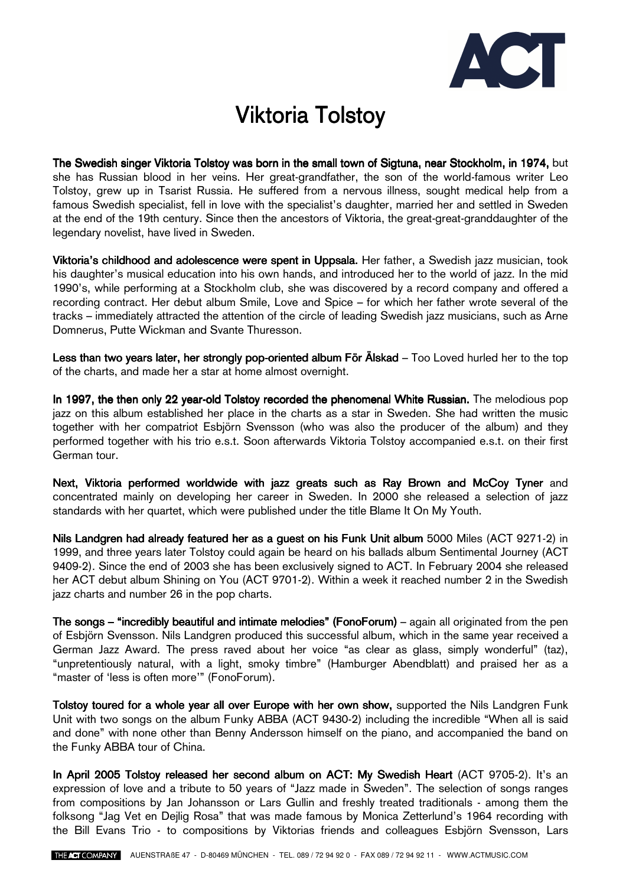

## **Viktoria Tolstoy**

The Swedish singer Viktoria Tolstoy was born in the small town of Sigtuna, near Stockholm, in 1974, but she has Russian blood in her veins. Her great-grandfather, the son of the world-famous writer Leo Tolstoy, grew up in Tsarist Russia. He suffered from a nervous illness, sought medical help from a famous Swedish specialist, fell in love with the specialist's daughter, married her and settled in Sweden at the end of the 19th century. Since then the ancestors of Viktoria, the great-great-granddaughter of the legendary novelist, have lived in Sweden.

Viktoria's childhood and adolescence were spent in Uppsala. Her father, a Swedish jazz musician, took his daughter's musical education into his own hands, and introduced her to the world of jazz. In the mid 1990's, while performing at a Stockholm club, she was discovered by a record company and offered a recording contract. Her debut album Smile, Love and Spice – for which her father wrote several of the tracks – immediately attracted the attention of the circle of leading Swedish jazz musicians, such as Arne Domnerus, Putte Wickman and Svante Thuresson.

Less than two years later, her strongly pop-oriented album För Älskad – Too Loved hurled her to the top of the charts, and made her a star at home almost overnight.

In 1997, the then only 22 year-old Tolstoy recorded the phenomenal White Russian. The melodious pop jazz on this album established her place in the charts as a star in Sweden. She had written the music together with her compatriot Esbjörn Svensson (who was also the producer of the album) and they performed together with his trio e.s.t. Soon afterwards Viktoria Tolstoy accompanied e.s.t. on their first German tour.

Next, Viktoria performed worldwide with jazz greats such as Ray Brown and McCoy Tyner and concentrated mainly on developing her career in Sweden. In 2000 she released a selection of jazz standards with her quartet, which were published under the title Blame It On My Youth.

Nils Landgren had already featured her as a guest on his Funk Unit album 5000 Miles (ACT 9271-2) in 1999, and three years later Tolstoy could again be heard on his ballads album Sentimental Journey (ACT 9409-2). Since the end of 2003 she has been exclusively signed to ACT. In February 2004 she released her ACT debut album Shining on You (ACT 9701-2). Within a week it reached number 2 in the Swedish jazz charts and number 26 in the pop charts.

The songs – "incredibly beautiful and intimate melodies" (FonoForum) – again all originated from the pen of Esbjörn Svensson. Nils Landgren produced this successful album, which in the same year received a German Jazz Award. The press raved about her voice "as clear as glass, simply wonderful" (taz), "unpretentiously natural, with a light, smoky timbre" (Hamburger Abendblatt) and praised her as a "master of 'less is often more'" (FonoForum).

Tolstoy toured for a whole year all over Europe with her own show, supported the Nils Landgren Funk Unit with two songs on the album Funky ABBA (ACT 9430-2) including the incredible "When all is said and done" with none other than Benny Andersson himself on the piano, and accompanied the band on the Funky ABBA tour of China.

In April 2005 Tolstoy released her second album on ACT: My Swedish Heart (ACT 9705-2). It's an expression of love and a tribute to 50 years of "Jazz made in Sweden". The selection of songs ranges from compositions by Jan Johansson or Lars Gullin and freshly treated traditionals - among them the folksong "Jag Vet en Dejlig Rosa" that was made famous by Monica Zetterlund's 1964 recording with the Bill Evans Trio - to compositions by Viktorias friends and colleagues Esbjörn Svensson, Lars